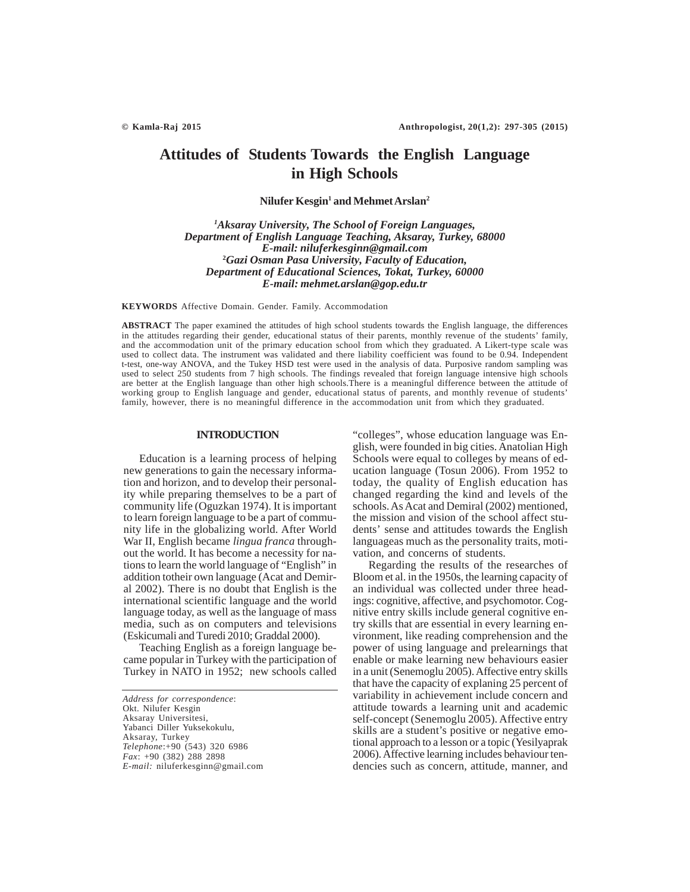# **Attitudes of Students Towards the English Language in High Schools**

 $N$ **ilufer Kesgin<sup>1</sup> and Mehmet Arslan<sup>2</sup>** 

*1 Aksaray University, The School of Foreign Languages, Department of English Language Teaching, Aksaray, Turkey, 68000 E-mail: niluferkesginn@gmail.com* **2** *Gazi Osman Pasa University, Faculty of Education, Department of Educational Sciences, Tokat, Turkey, 60000 E-mail: mehmet.arslan@gop.edu.tr*

**KEYWORDS** Affective Domain. Gender. Family. Accommodation

**ABSTRACT** The paper examined the attitudes of high school students towards the English language, the differences in the attitudes regarding their gender, educational status of their parents, monthly revenue of the students' family, and the accommodation unit of the primary education school from which they graduated. A Likert-type scale was used to collect data. The instrument was validated and there liability coefficient was found to be 0.94. Independent t-test, one-way ANOVA, and the Tukey HSD test were used in the analysis of data. Purposive random sampling was used to select 250 students from 7 high schools. The findings revealed that foreign language intensive high schools are better at the English language than other high schools.There is a meaningful difference between the attitude of working group to English language and gender, educational status of parents, and monthly revenue of students' family, however, there is no meaningful difference in the accommodation unit from which they graduated.

## **INTRODUCTION**

Education is a learning process of helping new generations to gain the necessary information and horizon, and to develop their personality while preparing themselves to be a part of community life (Oguzkan 1974). It is important to learn foreign language to be a part of community life in the globalizing world. After World War II, English became *lingua franca* throughout the world. It has become a necessity for nations to learn the world language of "English" in addition totheir own language (Acat and Demiral 2002). There is no doubt that English is the international scientific language and the world language today, as well as the language of mass media, such as on computers and televisions (Eskicumali and Turedi 2010; Graddal 2000).

Teaching English as a foreign language became popular in Turkey with the participation of Turkey in NATO in 1952; new schools called

*Address for correspondence*: Okt. Nilufer Kesgin Aksaray Universitesi, Yabanci Diller Yuksekokulu, Aksaray, Turkey *Telephone*:+90 (543) 320 6986 *Fax*: +90 (382) 288 2898 *E-mail:* niluferkesginn@gmail.com "colleges", whose education language was English, were founded in big cities. Anatolian High Schools were equal to colleges by means of education language (Tosun  $2006$ ). From 1952 to today, the quality of English education has changed regarding the kind and levels of the schools. As Acat and Demiral (2002) mentioned, the mission and vision of the school affect students' sense and attitudes towards the English languageas much as the personality traits, motivation, and concerns of students.

Regarding the results of the researches of Bloom et al. in the 1950s, the learning capacity of an individual was collected under three headings: cognitive, affective, and psychomotor. Cognitive entry skills include general cognitive entry skills that are essential in every learning environment, like reading comprehension and the power of using language and prelearnings that enable or make learning new behaviours easier in a unit (Senemoglu 2005). Affective entry skills that have the capacity of explaning 25 percent of variability in achievement include concern and attitude towards a learning unit and academic self-concept (Senemoglu 2005). Affective entry skills are a student's positive or negative emotional approach to a lesson or a topic (Yesilyaprak 2006). Affective learning includes behaviour tendencies such as concern, attitude, manner, and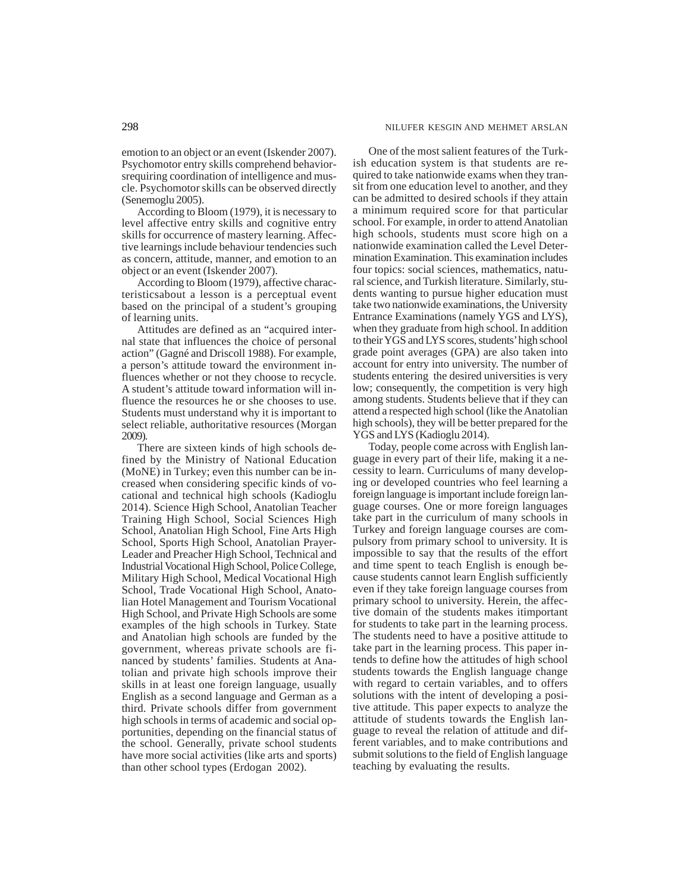emotion to an object or an event (Iskender 2007). Psychomotor entry skills comprehend behaviorsrequiring coordination of intelligence and muscle. Psychomotor skills can be observed directly (Senemoglu 2005).

According to Bloom (1979), it is necessary to level affective entry skills and cognitive entry skills for occurrence of mastery learning. Affective learnings include behaviour tendencies such as concern, attitude, manner, and emotion to an object or an event (Iskender 2007).

According to Bloom (1979), affective characteristicsabout a lesson is a perceptual event based on the principal of a student's grouping of learning units.

Attitudes are defined as an "acquired internal state that influences the choice of personal action" (Gagné and Driscoll 1988). For example, a person's attitude toward the environment influences whether or not they choose to recycle. A student's attitude toward information will influence the resources he or she chooses to use. Students must understand why it is important to select reliable, authoritative resources (Morgan 2009).

There are sixteen kinds of high schools defined by the Ministry of National Education (MoNE) in Turkey; even this number can be increased when considering specific kinds of vocational and technical high schools (Kadioglu 2014). Science High School, Anatolian Teacher Training High School, Social Sciences High School, Anatolian High School, Fine Arts High School, Sports High School, Anatolian Prayer-Leader and Preacher High School, Technical and Industrial Vocational High School, Police College, Military High School, Medical Vocational High School, Trade Vocational High School, Anatolian Hotel Management and Tourism Vocational High School, and Private High Schools are some examples of the high schools in Turkey. State and Anatolian high schools are funded by the government, whereas private schools are financed by students' families. Students at Anatolian and private high schools improve their skills in at least one foreign language, usually English as a second language and German as a third. Private schools differ from government high schools in terms of academic and social opportunities, depending on the financial status of the school. Generally, private school students have more social activities (like arts and sports) than other school types (Erdogan 2002).

One of the most salient features of the Turkish education system is that students are required to take nationwide exams when they transit from one education level to another, and they can be admitted to desired schools if they attain a minimum required score for that particular school. For example, in order to attend Anatolian high schools, students must score high on a nationwide examination called the Level Determination Examination. This examination includes four topics: social sciences, mathematics, natural science, and Turkish literature. Similarly, students wanting to pursue higher education must take two nationwide examinations, the University Entrance Examinations (namely YGS and LYS), when they graduate from high school. In addition to their YGS and LYS scores, students' high school grade point averages (GPA) are also taken into account for entry into university. The number of students entering the desired universities is very low; consequently, the competition is very high among students. Students believe that if they can attend a respected high school (like the Anatolian high schools), they will be better prepared for the YGS and LYS (Kadioglu 2014).

Today, people come across with English language in every part of their life, making it a necessity to learn. Curriculums of many developing or developed countries who feel learning a foreign language is important include foreign language courses. One or more foreign languages take part in the curriculum of many schools in Turkey and foreign language courses are compulsory from primary school to university. It is impossible to say that the results of the effort and time spent to teach English is enough because students cannot learn English sufficiently even if they take foreign language courses from primary school to university. Herein, the affective domain of the students makes itimportant for students to take part in the learning process. The students need to have a positive attitude to take part in the learning process. This paper intends to define how the attitudes of high school students towards the English language change with regard to certain variables, and to offers solutions with the intent of developing a positive attitude. This paper expects to analyze the attitude of students towards the English language to reveal the relation of attitude and different variables, and to make contributions and submit solutions to the field of English language teaching by evaluating the results.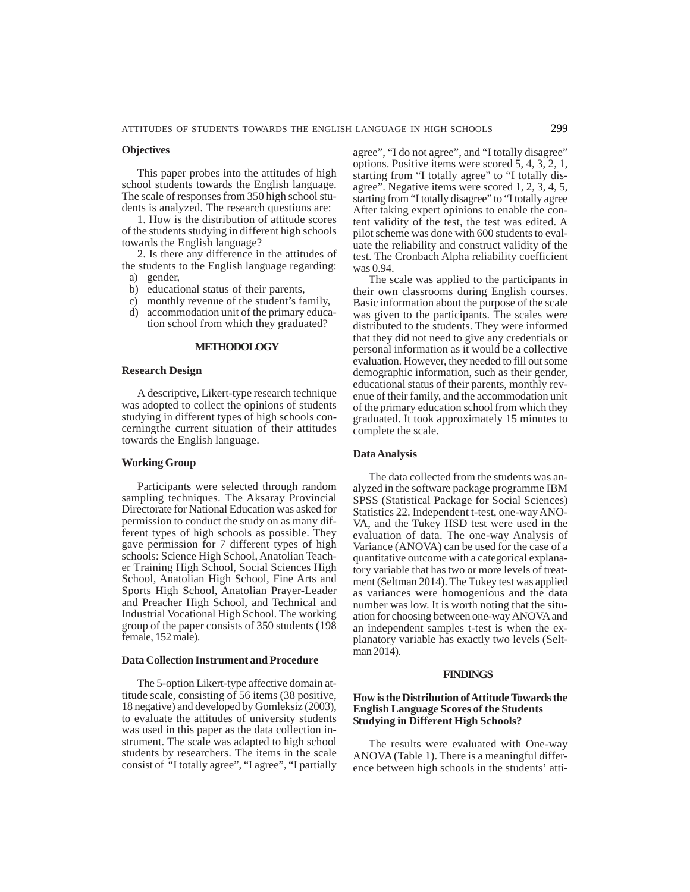#### **Objectives**

This paper probes into the attitudes of high school students towards the English language. The scale of responses from 350 high school students is analyzed. The research questions are:

1. How is the distribution of attitude scores of the students studying in different high schools towards the English language?

2. Is there any difference in the attitudes of the students to the English language regarding:

- a) gender,
- b) educational status of their parents,
- c) monthly revenue of the student's family,
- d) accommodation unit of the primary education school from which they graduated?

#### **METHODOLOGY**

## **Research Design**

A descriptive, Likert-type research technique was adopted to collect the opinions of students studying in different types of high schools concerningthe current situation of their attitudes towards the English language.

# **Working Group**

Participants were selected through random sampling techniques. The Aksaray Provincial Directorate for National Education was asked for permission to conduct the study on as many different types of high schools as possible. They gave permission for 7 different types of high schools: Science High School, Anatolian Teacher Training High School, Social Sciences High School, Anatolian High School, Fine Arts and Sports High School, Anatolian Prayer-Leader and Preacher High School, and Technical and Industrial Vocational High School*.* The working group of the paper consists of 350 students (198 female, 152 male).

# **Data Collection Instrument and Procedure**

The 5-option Likert-type affective domain attitude scale, consisting of 56 items (38 positive, 18 negative) and developed by Gomleksiz (2003), to evaluate the attitudes of university students was used in this paper as the data collection instrument. The scale was adapted to high school students by researchers. The items in the scale consist of "I totally agree", "I agree", "I partially agree", "I do not agree", and "I totally disagree" options. Positive items were scored 5, 4, 3, 2, 1, starting from "I totally agree" to "I totally disagree". Negative items were scored 1, 2, 3, 4, 5, starting from "I totally disagree" to "I totally agree After taking expert opinions to enable the content validity of the test, the test was edited. A pilot scheme was done with 600 students to evaluate the reliability and construct validity of the test. The Cronbach Alpha reliability coefficient was 0.94.

The scale was applied to the participants in their own classrooms during English courses. Basic information about the purpose of the scale was given to the participants. The scales were distributed to the students. They were informed that they did not need to give any credentials or personal information as it would be a collective evaluation. However, they needed to fill out some demographic information, such as their gender, educational status of their parents, monthly revenue of their family, and the accommodation unit of the primary education school from which they graduated. It took approximately 15 minutes to complete the scale.

#### **Data Analysis**

The data collected from the students was analyzed in the software package programme IBM SPSS (Statistical Package for Social Sciences) Statistics 22. Independent t-test, one-way ANO-VA, and the Tukey HSD test were used in the evaluation of data. The one-way Analysis of Variance (ANOVA) can be used for the case of a quantitative outcome with a categorical explanatory variable that has two or more levels of treatment (Seltman 2014). The Tukey test was applied as variances were homogenious and the data number was low. It is worth noting that the situation for choosing between one-way ANOVA and an independent samples t-test is when the explanatory variable has exactly two levels (Seltman 2014).

#### **FINDINGS**

# **How is the Distribution of Attitude Towards the English Language Scores of the Students Studying in Different High Schools?**

The results were evaluated with One-way ANOVA (Table 1). There is a meaningful difference between high schools in the students' atti-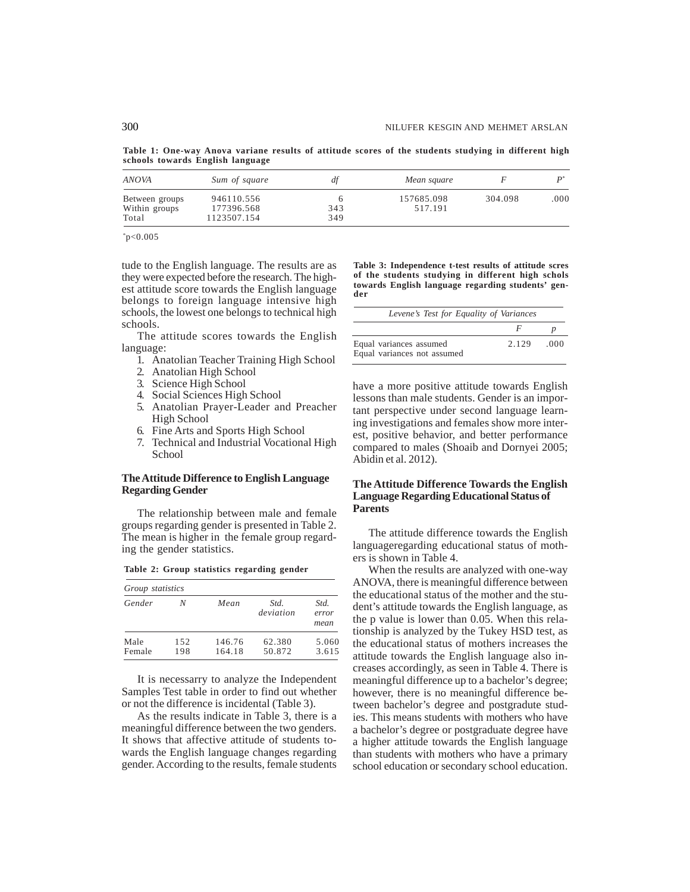**Table 1: One-way Anova variane results of attitude scores of the students studying in different high schools towards English language**

| ANOVA                                    | Sum of square                           | dt         | Mean square           |         |      |
|------------------------------------------|-----------------------------------------|------------|-----------------------|---------|------|
| Between groups<br>Within groups<br>Total | 946110.556<br>177396.568<br>1123507.154 | 343<br>349 | 157685.098<br>517.191 | 304.098 | .000 |

\* p<0.005

tude to the English language. The results are as they were expected before the research. The highest attitude score towards the English language belongs to foreign language intensive high schools, the lowest one belongs to technical high schools.

The attitude scores towards the English language:

- 1. Anatolian Teacher Training High School
- 2. Anatolian High School
- 3. Science High School
- 4. Social Sciences High School
- 5. Anatolian Prayer-Leader and Preacher High School
- 6. Fine Arts and Sports High School
- 7. Technical and Industrial Vocational High **School**

# **The Attitude Difference to English Language Regarding Gender**

The relationship between male and female groups regarding gender is presented in Table 2. The mean is higher in the female group regarding the gender statistics.

|  |  | Table 2: Group statistics regarding gender |  |
|--|--|--------------------------------------------|--|
|  |  |                                            |  |

| Group statistics |            |                  |                   |                       |  |  |  |
|------------------|------------|------------------|-------------------|-----------------------|--|--|--|
| Gender           | N          | Mean             | Std.<br>deviation | Std.<br>error<br>mean |  |  |  |
| Male<br>Female   | 152<br>198 | 146.76<br>164.18 | 62.380<br>50.872  | 5.060<br>3.615        |  |  |  |

It is necessarry to analyze the Independent Samples Test table in order to find out whether or not the difference is incidental (Table 3).

As the results indicate in Table 3, there is a meaningful difference between the two genders. It shows that affective attitude of students towards the English language changes regarding gender. According to the results, female students **Table 3: Independence t-test results of attitude scres of the students studying in different high schols towards English language regarding students' gender**

| Levene's Test for Equality of Variances                |       |      |
|--------------------------------------------------------|-------|------|
|                                                        | F     |      |
| Equal variances assumed<br>Equal variances not assumed | 2.129 | -000 |

have a more positive attitude towards English lessons than male students. Gender is an important perspective under second language learning investigations and females show more interest, positive behavior, and better performance compared to males (Shoaib and Dornyei 2005; Abidin et al. 2012).

# **The Attitude Difference Towards the English Language Regarding Educational Status of Parents**

The attitude difference towards the English languageregarding educational status of mothers is shown in Table 4.

When the results are analyzed with one-way ANOVA, there is meaningful difference between the educational status of the mother and the student's attitude towards the English language, as the p value is lower than 0.05. When this relationship is analyzed by the Tukey HSD test, as the educational status of mothers increases the attitude towards the English language also increases accordingly, as seen in Table 4. There is meaningful difference up to a bachelor's degree; however, there is no meaningful difference between bachelor's degree and postgradute studies. This means students with mothers who have a bachelor's degree or postgraduate degree have a higher attitude towards the English language than students with mothers who have a primary school education or secondary school education.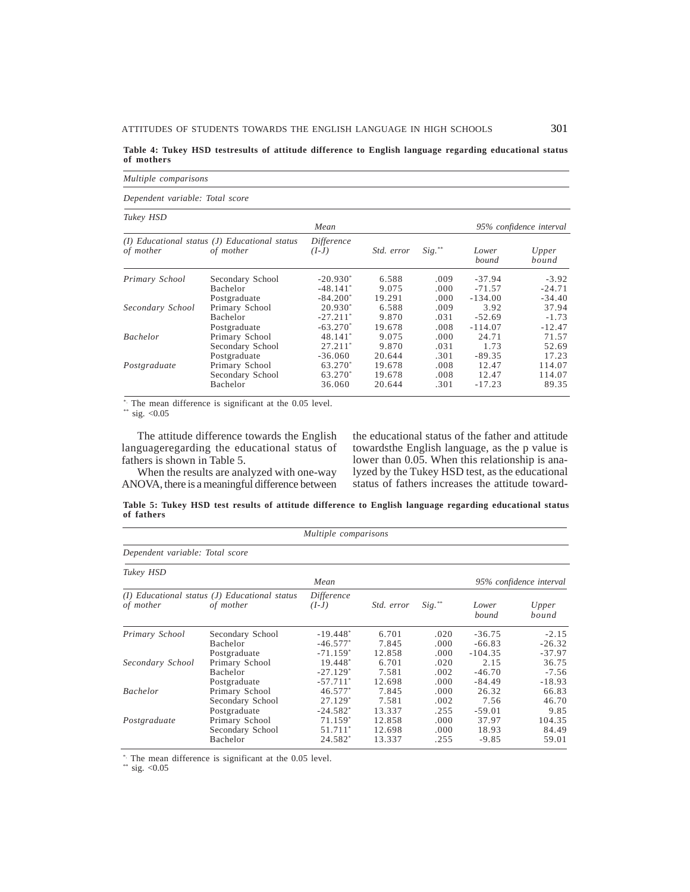**Table 4: Tukey HSD testresults of attitude difference to English language regarding educational status of mothers**

*Multiple comparisons*

*Dependent variable: Total score*

| Tukey HSD        |                                                                |                       |            |           |                |                         |
|------------------|----------------------------------------------------------------|-----------------------|------------|-----------|----------------|-------------------------|
|                  |                                                                | Mean                  |            |           |                | 95% confidence interval |
| of mother        | $(I)$ Educational status $(J)$ Educational status<br>of mother | Difference<br>$(I-J)$ | Std. error | $Sig.$ ** | Lower<br>bound | Upper<br>bound          |
| Primary School   | Secondary School                                               | $-20.930*$            | 6.588      | .009      | $-37.94$       | $-3.92$                 |
|                  | <b>Bachelor</b>                                                | $-48.141*$            | 9.075      | .000.     | $-71.57$       | $-24.71$                |
|                  | Postgraduate                                                   | $-84.200*$            | 19.291     | .000.     | $-134.00$      | $-34.40$                |
| Secondary School | Primary School                                                 | $20.930*$             | 6.588      | .009      | 3.92           | 37.94                   |
|                  | <b>Bachelor</b>                                                | $-27.211*$            | 9.870      | .031      | $-52.69$       | $-1.73$                 |
|                  | Postgraduate                                                   | $-63.270*$            | 19.678     | .008      | $-114.07$      | $-12.47$                |
| <b>Bachelor</b>  | Primary School                                                 | 48.141*               | 9.075      | .000.     | 24.71          | 71.57                   |
|                  | Secondary School                                               | $27.211*$             | 9.870      | .031      | 1.73           | 52.69                   |
|                  | Postgraduate                                                   | $-36.060$             | 20.644     | .301      | $-89.35$       | 17.23                   |
| Postgraduate     | Primary School                                                 | 63.270*               | 19.678     | .008      | 12.47          | 114.07                  |
|                  | Secondary School                                               | 63.270*               | 19.678     | .008      | 12.47          | 114.07                  |
|                  | Bachelor                                                       | 36.060                | 20.644     | .301      | $-17.23$       | 89.35                   |

\* The mean difference is significant at the 0.05 level.

\*\* sig.  $< 0.05$ 

The attitude difference towards the English languageregarding the educational status of fathers is shown in Table 5.

When the results are analyzed with one-way ANOVA, there is a meaningful difference between the educational status of the father and attitude towardsthe English language, as the p value is lower than 0.05. When this relationship is analyzed by the Tukey HSD test, as the educational status of fathers increases the attitude toward-

**Table 5: Tukey HSD test results of attitude difference to English language regarding educational status of fathers**

| Multiple comparisons            |                                                                |                        |                   |           |                |                         |  |
|---------------------------------|----------------------------------------------------------------|------------------------|-------------------|-----------|----------------|-------------------------|--|
| Dependent variable: Total score |                                                                |                        |                   |           |                |                         |  |
| Tukey HSD                       |                                                                | Mean                   |                   |           |                | 95% confidence interval |  |
| of mother                       | $(I)$ Educational status $(J)$ Educational status<br>of mother | Difference<br>$(I-J)$  | <i>Std. error</i> | $Sig.$ ** | Lower<br>bound | Upper<br>bound          |  |
| Primary School                  | Secondary School                                               | $-19.448*$             | 6.701             | .020      | $-36.75$       | $-2.15$                 |  |
|                                 | <b>Bachelor</b>                                                | $-46.577*$             | 7.845             | .000.     | $-66.83$       | $-26.32$                |  |
|                                 | Postgraduate                                                   | $-71.159*$             | 12.858            | .000      | $-104.35$      | $-37.97$                |  |
| Secondary School                | Primary School                                                 | 19.448*                | 6.701             | .020      | 2.15           | 36.75                   |  |
|                                 | <b>Bachelor</b>                                                | $-27.129*$             | 7.581             | .002      | $-46.70$       | $-7.56$                 |  |
|                                 | Postgraduate                                                   | $-57.711$ <sup>*</sup> | 12.698            | .000.     | $-84.49$       | $-18.93$                |  |
| <b>Bachelor</b>                 | Primary School                                                 | 46.577*                | 7.845             | .000      | 26.32          | 66.83                   |  |
|                                 | Secondary School                                               | $27.129*$              | 7.581             | .002      | 7.56           | 46.70                   |  |
|                                 | Postgraduate                                                   | $-24.582*$             | 13.337            | .255      | $-59.01$       | 9.85                    |  |
| Postgraduate                    | Primary School                                                 | 71.159*                | 12.858            | .000      | 37.97          | 104.35                  |  |
|                                 | Secondary School                                               | 51.711*                | 12.698            | .000.     | 18.93          | 84.49                   |  |
|                                 | Bachelor                                                       | 24.582*                | 13.337            | .255      | $-9.85$        | 59.01                   |  |

\*. The mean difference is significant at the 0.05 level.

\*\* sig.  $< 0.05$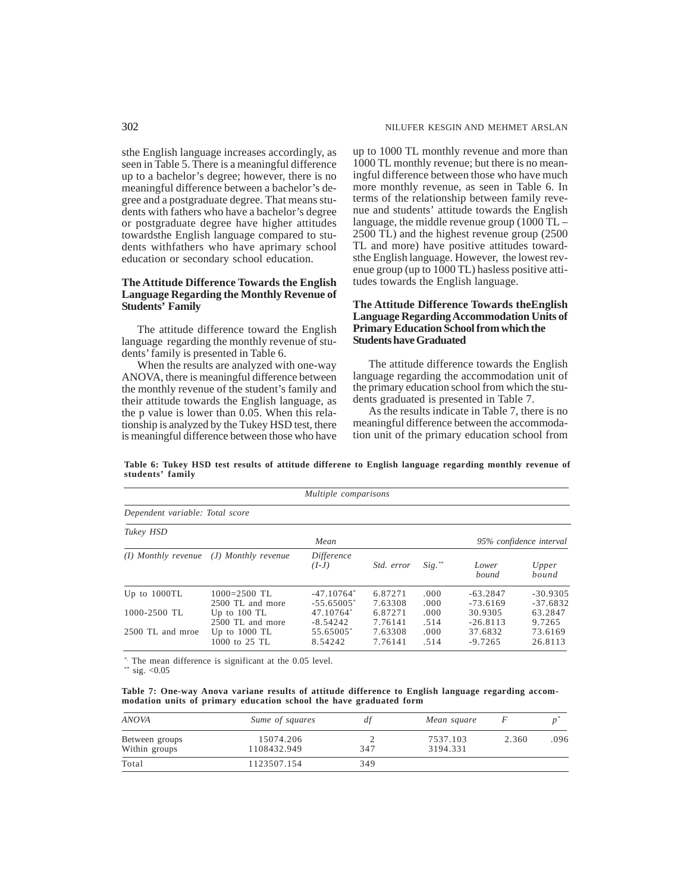sthe English language increases accordingly, as seen in Table 5. There is a meaningful difference up to a bachelor's degree; however, there is no meaningful difference between a bachelor's degree and a postgraduate degree. That means students with fathers who have a bachelor's degree or postgraduate degree have higher attitudes towardsthe English language compared to students withfathers who have aprimary school education or secondary school education.

# **The Attitude Difference Towards the English Language Regarding the Monthly Revenue of Students' Family**

The attitude difference toward the English language regarding the monthly revenue of students' family is presented in Table 6.

When the results are analyzed with one-way ANOVA, there is meaningful difference between the monthly revenue of the student's family and their attitude towards the English language, as the p value is lower than 0.05. When this relationship is analyzed by the Tukey HSD test, there is meaningful difference between those who have up to 1000 TL monthly revenue and more than 1000 TL monthly revenue; but there is no meaningful difference between those who have much more monthly revenue, as seen in Table 6. In terms of the relationship between family revenue and students' attitude towards the English language, the middle revenue group  $(1000 \tilde{T}L -$ 2500 TL) and the highest revenue group (2500 TL and more) have positive attitudes towardsthe English language. However, the lowest revenue group (up to 1000 TL) hasless positive attitudes towards the English language.

# **The Attitude Difference Towards theEnglish Language Regarding Accommodation Units of Primary Education School from which the Students have Graduated**

The attitude difference towards the English language regarding the accommodation unit of the primary education school from which the students graduated is presented in Table 7.

As the results indicate in Table 7, there is no meaningful difference between the accommodation unit of the primary education school from

| Table 6: Tukey HSD test results of attitude differene to English language regarding monthly revenue of |  |  |  |  |  |
|--------------------------------------------------------------------------------------------------------|--|--|--|--|--|
| students' family                                                                                       |  |  |  |  |  |

|                                 |                                             | Multiple comparisons         |                    |                |                          |                          |
|---------------------------------|---------------------------------------------|------------------------------|--------------------|----------------|--------------------------|--------------------------|
| Dependent variable: Total score |                                             |                              |                    |                |                          |                          |
| Tukey HSD                       |                                             | Mean                         |                    |                |                          | 95% confidence interval  |
|                                 | $(I)$ Monthly revenue $(J)$ Monthly revenue | Difference<br>$(I-J)$        | <i>Std.</i> error  | $Sig.$ **      | Lower<br>bound           | Upper<br>bound           |
| Up to $1000TL$                  | $1000=2500$ TL<br>2500 TL and more          | $-47.10764*$<br>$-55.65005*$ | 6.87271<br>7.63308 | .000.<br>.000. | $-63.2847$<br>$-73.6169$ | $-30.9305$<br>$-37.6832$ |
| 1000-2500 TL                    | Up to $100$ TL<br>2500 TL and more          | 47.10764*<br>$-8.54242$      | 6.87271<br>7.76141 | .000.<br>.514  | 30.9305<br>$-26.8113$    | 63.2847<br>9.7265        |
| 2500 TL and mroe                | Up to $1000$ TL<br>1000 to 25 TL            | 55.65005*<br>8.54242         | 7.63308<br>7.76141 | .000.<br>.514  | 37.6832<br>$-9.7265$     | 73.6169<br>26.8113       |

\*. The mean difference is significant at the 0.05 level.

\*\* sig.  $< 0.05$ 

**Table 7: One-way Anova variane results of attitude difference to English language regarding accommodation units of primary education school the have graduated form**

| ANOVA                           | Sume of squares          |     | Mean square          |       |      |
|---------------------------------|--------------------------|-----|----------------------|-------|------|
| Between groups<br>Within groups | 15074.206<br>1108432.949 | 347 | 7537.103<br>3194.331 | 2.360 | .096 |
| Total                           | 1123507.154              | 349 |                      |       |      |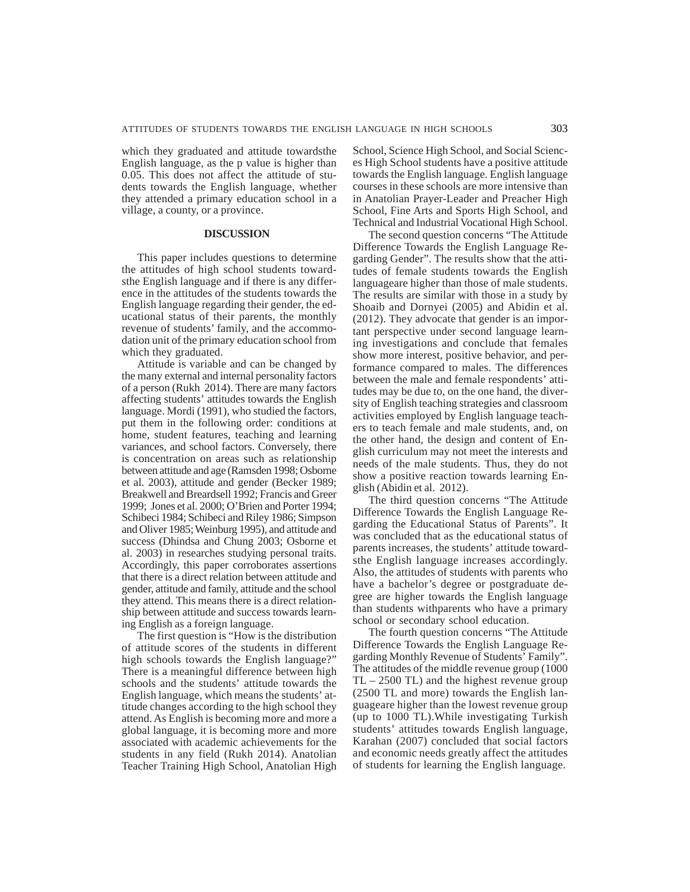which they graduated and attitude towardsthe English language, as the p value is higher than 0.05. This does not affect the attitude of students towards the English language, whether they attended a primary education school in a village, a county, or a province.

# **DISCUSSION**

This paper includes questions to determine the attitudes of high school students towardsthe English language and if there is any difference in the attitudes of the students towards the English language regarding their gender, the educational status of their parents, the monthly revenue of students' family, and the accommodation unit of the primary education school from which they graduated.

Attitude is variable and can be changed by the many external and internal personality factors of a person (Rukh 2014). There are many factors affecting students' attitudes towards the English language. Mordi (1991), who studied the factors, put them in the following order: conditions at home, student features, teaching and learning variances, and school factors. Conversely, there is concentration on areas such as relationship between attitude and age (Ramsden 1998; Osborne et al. 2003), attitude and gender (Becker 1989; Breakwell and Breardsell 1992; Francis and Greer 1999; Jones et al. 2000; O'Brien and Porter 1994; Schibeci 1984; Schibeci and Riley 1986; Simpson and Oliver 1985; Weinburg 1995), and attitude and success (Dhindsa and Chung 2003; Osborne et al. 2003) in researches studying personal traits. Accordingly, this paper corroborates assertions that there is a direct relation between attitude and gender, attitude and family, attitude and the school they attend. This means there is a direct relationship between attitude and success towards learning English as a foreign language.

The first question is "How is the distribution of attitude scores of the students in different high schools towards the English language?" There is a meaningful difference between high schools and the students' attitude towards the English language, which means the students' attitude changes according to the high school they attend. As English is becoming more and more a global language, it is becoming more and more associated with academic achievements for the students in any field (Rukh 2014). Anatolian Teacher Training High School, Anatolian High

School, Science High School, and Social Sciences High School students have a positive attitude towards the English language. English language courses in these schools are more intensive than in Anatolian Prayer-Leader and Preacher High School, Fine Arts and Sports High School, and Technical and Industrial Vocational High School.

The second question concerns "The Attitude Difference Towards the English Language Regarding Gender". The results show that the attitudes of female students towards the English languageare higher than those of male students. The results are similar with those in a study by Shoaib and Dornyei (2005) and Abidin et al. (2012). They advocate that gender is an important perspective under second language learning investigations and conclude that females show more interest, positive behavior, and performance compared to males. The differences between the male and female respondents' attitudes may be due to, on the one hand, the diversity of English teaching strategies and classroom activities employed by English language teachers to teach female and male students, and, on the other hand, the design and content of English curriculum may not meet the interests and needs of the male students. Thus, they do not show a positive reaction towards learning English (Abidin et al. 2012).

The third question concerns "The Attitude Difference Towards the English Language Regarding the Educational Status of Parents". It was concluded that as the educational status of parents increases, the students' attitude towardsthe English language increases accordingly. Also, the attitudes of students with parents who have a bachelor's degree or postgraduate degree are higher towards the English language than students withparents who have a primary school or secondary school education.

The fourth question concerns "The Attitude Difference Towards the English Language Regarding Monthly Revenue of Students' Family". The attitudes of the middle revenue group (1000 TL – 2500 TL) and the highest revenue group (2500 TL and more) towards the English languageare higher than the lowest revenue group (up to 1000 TL).While investigating Turkish students' attitudes towards English language, Karahan (2007) concluded that social factors and economic needs greatly affect the attitudes of students for learning the English language.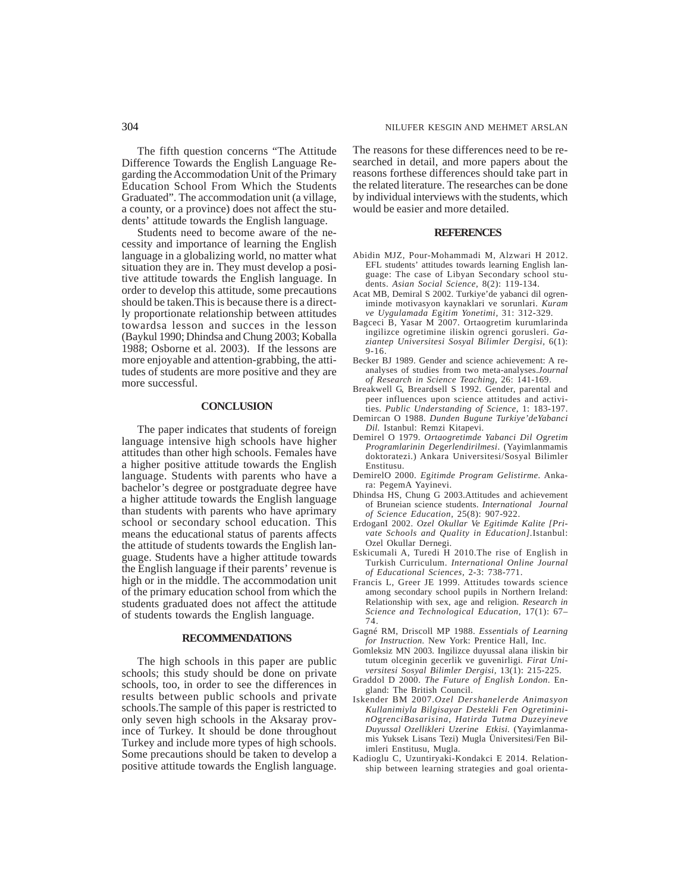The fifth question concerns "The Attitude Difference Towards the English Language Regarding the Accommodation Unit of the Primary Education School From Which the Students Graduated". The accommodation unit (a village, a county, or a province) does not affect the students' attitude towards the English language.

Students need to become aware of the necessity and importance of learning the English language in a globalizing world, no matter what situation they are in. They must develop a positive attitude towards the English language. In order to develop this attitude, some precautions should be taken.This is because there is a directly proportionate relationship between attitudes towardsa lesson and succes in the lesson (Baykul 1990; Dhindsa and Chung 2003; Koballa 1988; Osborne et al. 2003). If the lessons are more enjoyable and attention-grabbing, the attitudes of students are more positive and they are more successful.

## **CONCLUSION**

The paper indicates that students of foreign language intensive high schools have higher attitudes than other high schools. Females have a higher positive attitude towards the English language. Students with parents who have a bachelor's degree or postgraduate degree have a higher attitude towards the English language than students with parents who have aprimary school or secondary school education. This means the educational status of parents affects the attitude of students towards the English language. Students have a higher attitude towards the English language if their parents' revenue is high or in the middle. The accommodation unit of the primary education school from which the students graduated does not affect the attitude of students towards the English language.

#### **RECOMMENDATIONS**

The high schools in this paper are public schools; this study should be done on private schools, too, in order to see the differences in results between public schools and private schools.The sample of this paper is restricted to only seven high schools in the Aksaray province of Turkey. It should be done throughout Turkey and include more types of high schools. Some precautions should be taken to develop a positive attitude towards the English language.

The reasons for these differences need to be researched in detail, and more papers about the reasons forthese differences should take part in the related literature. The researches can be done by individual interviews with the students, which would be easier and more detailed.

#### **REFERENCES**

- Abidin MJZ, Pour-Mohammadi M, Alzwari H 2012. EFL students' attitudes towards learning English language: The case of Libyan Secondary school students. *Asian Social Science*, 8(2): 119-134.
- Acat MB, Demiral S 2002. Turkiye'de yabanci dil ogreniminde motivasyon kaynaklari ve sorunlari. *Kuram ve Uygulamada E*g*itim Yonetimi,* 31: 312-329.
- Bagceci B, Yasar M 2007. Ortaogretim kurumlarinda ingilizce ogretimine iliskin ogrenci gorusleri. *Gaziantep Universitesi Sosyal Bilimler Dergisi,* 6(1): 9-16.
- Becker BJ 1989. Gender and science achievement: A reanalyses of studies from two meta-analyses.*Journal of Research in Science Teaching*, 26: 141-169.
- Breakwell G, Breardsell S 1992. Gender, parental and peer influences upon science attitudes and activities. *Public Understanding of Science,* 1: 183-197.
- Demircan O 1988. *Dunden Bugune Turkiye'deYabanci Dil.* Istanbul: Remzi Kitapevi.
- Demirel O 1979. *Ortaogretimde Yabanci Dil O*g*retim Programlarinin De*g*erlendirilmesi*. (Yayimlanmamis doktoratezi.) Ankara Universitesi/Sosyal Bilimler Enstitusu.
- DemirelO 2000. *E*g*itimde Program Gelistirme.* Ankara: PegemA Yayinevi.
- Dhindsa HS, Chung G 2003.Attitudes and achievement of Bruneian science students. *International Journal of Science Education,* 25(8): 907-922.
- ErdoganI 2002. *Ozel Okullar Ve Egitimde Kalite [Private Schools and Quality in Education].*Istanbul: Ozel Okullar Dernegi.
- Eskicumali A, Turedi H 2010.The rise of English in Turkish Curriculum. *International Online Journal of Educational Sciences,* 2-3: 738-771.
- Francis L, Greer JE 1999. Attitudes towards science among secondary school pupils in Northern Ireland: Relationship with sex, age and religion. *Research in Science and Technological Education,* 17(1): 67– 74.
- Gagné RM, Driscoll MP 1988. *Essentials of Learning for Instruction.* New York: Prentice Hall, Inc.
- Gomleksiz MN 2003. Ingilizce duyussal alana iliskin bir tutum olceginin gecerlik ve guvenirligi*. Firat Universitesi Sosyal Bilimler Dergisi,* 13(1): 215-225.
- Graddol D 2000. *The Future of English London*. England: The British Council.
- Iskender BM 2007.*Ozel Dershanelerde Animasyon Kullanimiyla Bilgisayar Destekli Fen O*g*retimininO*g*renciBasarisina, Hatirda Tutma Duzeyineve Duyussal Ozellikleri Uzerine Etkisi.* (Yayimlanmamis Yuksek Lisans Tezi) Mugla Üniversitesi/Fen Bilimleri Enstitusu, Mugla.
- Kadioglu C, Uzuntiryaki-Kondakci E 2014. Relationship between learning strategies and goal orienta-